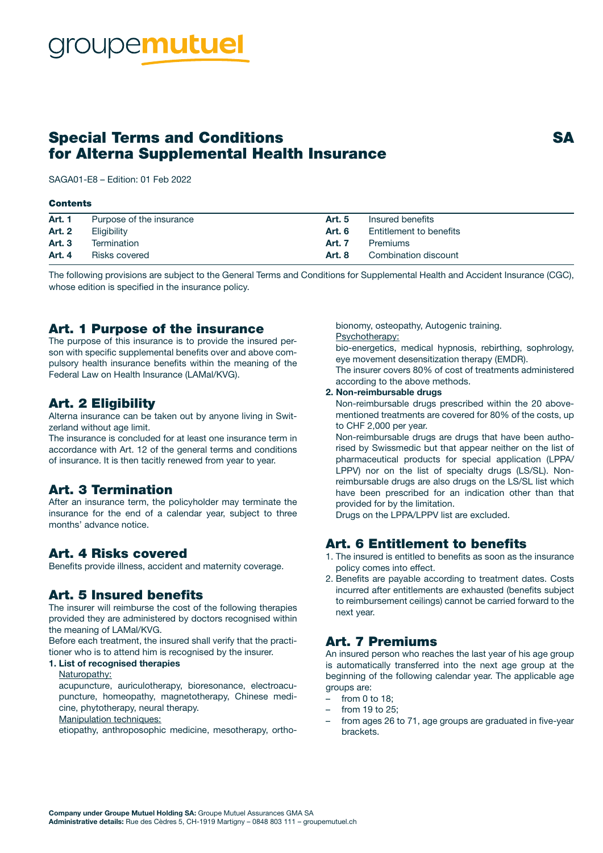# Special Terms and Conditions SA for Alterna Supplemental Health Insurance

SAGA01-E8 – Edition: 01 Feb 2022

#### **Contents**

| <b>Art. 1</b> | Purpose of the insurance | Art. 5        | Insured benefits        |
|---------------|--------------------------|---------------|-------------------------|
| <b>Art. 2</b> | Eligibility              | Art. 6        | Entitlement to benefits |
| <b>Art. 3</b> | Termination              | <b>Art. 7</b> | Premiums                |
| Art. 4        | Risks covered            | Art. 8        | Combination discount    |

The following provisions are subject to the General Terms and Conditions for Supplemental Health and Accident Insurance (CGC), whose edition is specified in the insurance policy.

#### Art. 1 Purpose of the insurance

The purpose of this insurance is to provide the insured person with specific supplemental benefits over and above compulsory health insurance benefits within the meaning of the Federal Law on Health Insurance (LAMal/KVG).

#### Art. 2 Eligibility

Alterna insurance can be taken out by anyone living in Switzerland without age limit.

The insurance is concluded for at least one insurance term in accordance with Art. 12 of the general terms and conditions of insurance. It is then tacitly renewed from year to year.

### Art. 3 Termination

After an insurance term, the policyholder may terminate the insurance for the end of a calendar year, subject to three months' advance notice.

#### Art. 4 Risks covered

Benefits provide illness, accident and maternity coverage.

### Art. 5 Insured benefits

The insurer will reimburse the cost of the following therapies provided they are administered by doctors recognised within the meaning of LAMal/KVG.

Before each treatment, the insured shall verify that the practitioner who is to attend him is recognised by the insurer.

#### 1. List of recognised therapies

Naturopathy:

acupuncture, auriculotherapy, bioresonance, electroacupuncture, homeopathy, magnetotherapy, Chinese medicine, phytotherapy, neural therapy.

Manipulation techniques:

etiopathy, anthroposophic medicine, mesotherapy, ortho-

bionomy, osteopathy, Autogenic training. Psychotherapy:

bio-energetics, medical hypnosis, rebirthing, sophrology, eye movement desensitization therapy (EMDR).

The insurer covers 80% of cost of treatments administered according to the above methods.

#### 2. Non-reimbursable drugs

Non-reimbursable drugs prescribed within the 20 abovementioned treatments are covered for 80% of the costs, up to CHF 2,000 per year.

Non-reimbursable drugs are drugs that have been authorised by Swissmedic but that appear neither on the list of pharmaceutical products for special application (LPPA/ LPPV) nor on the list of specialty drugs (LS/SL). Nonreimbursable drugs are also drugs on the LS/SL list which have been prescribed for an indication other than that provided for by the limitation.

Drugs on the LPPA/LPPV list are excluded.

## Art. 6 Entitlement to benefits

- 1. The insured is entitled to benefits as soon as the insurance policy comes into effect.
- 2. Benefits are payable according to treatment dates. Costs incurred after entitlements are exhausted (benefits subject to reimbursement ceilings) cannot be carried forward to the next year.

#### Art. 7 Premiums

An insured person who reaches the last year of his age group is automatically transferred into the next age group at the beginning of the following calendar year. The applicable age groups are:

- from 0 to 18;
- from 19 to 25;
- from ages 26 to 71, age groups are graduated in five-year brackets.